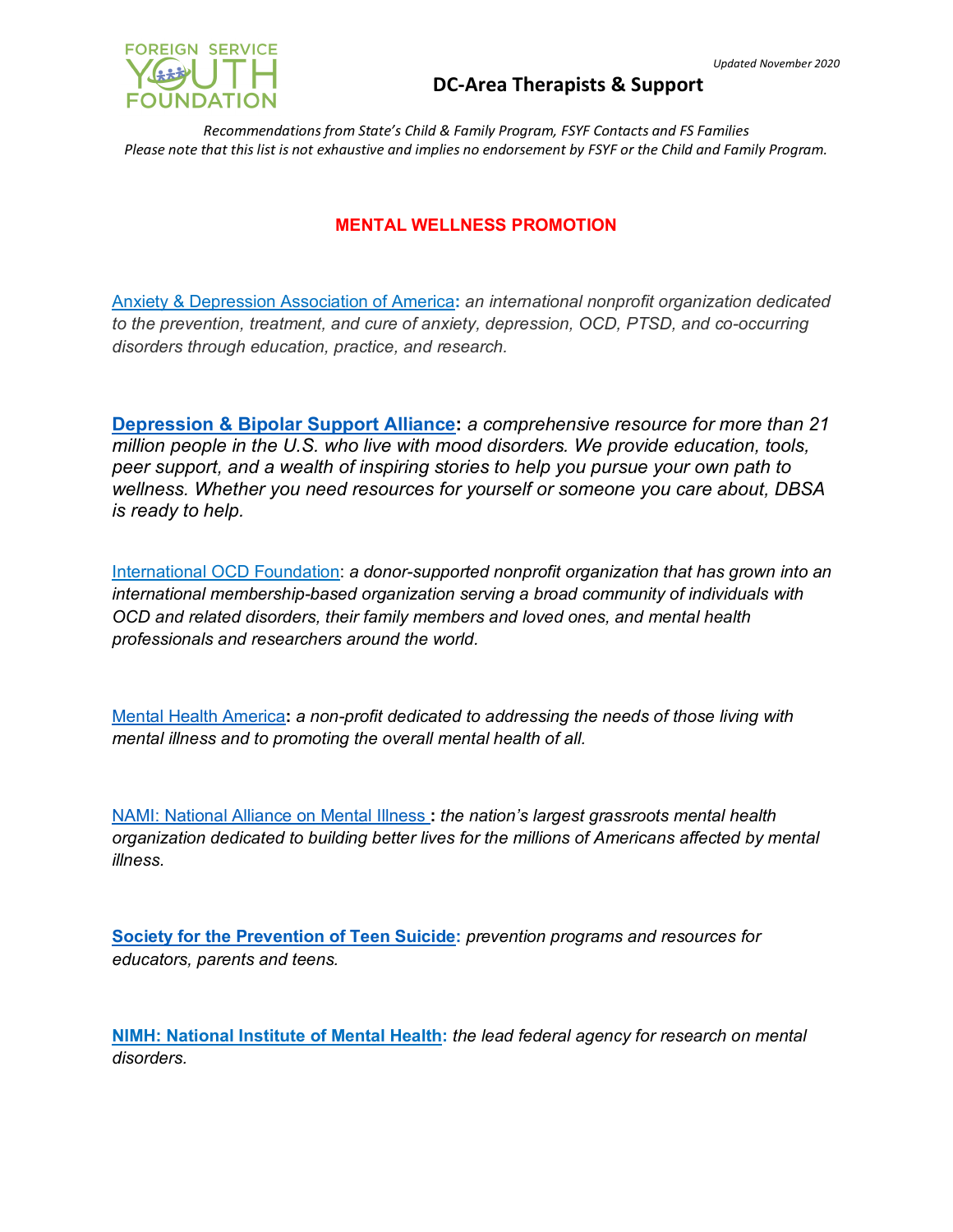

*Recommendations from State's Child & Family Program, FSYF Contacts and FS Families Please note that this list is not exhaustive and implies no endorsement by FSYF or the Child and Family Program.*

#### **MENTAL WELLNESS PROMOTION**

Anxiety & Depression [Association](https://adaa.org/) of America**:** *an international nonprofit organization dedicated to the prevention, treatment, and cure of anxiety, depression, OCD, PTSD, and co-occurring disorders through education, practice, and research.*

**[Depression](https://www.dbsalliance.org/) & Bipolar Support Alliance:** *a comprehensive resource for more than 21 million people in the U.S. who live with mood disorders. We provide education, tools, peer support, and a wealth of inspiring stories to help you pursue your own path to wellness. Whether you need resources for yourself or someone you care about, DBSA is ready to help.*

[International](https://iocdf.org/) OCD Foundation: *a donor-supported nonprofit organization that has grown into an international membership-based organization serving a broad community of individuals with OCD and related disorders, their family members and loved ones, and mental health professionals and researchers around the world.* 

Mental Health [America](http://www.mentalhealthamerica.net/)**:** *a non-profit dedicated to addressing the needs of those living with mental illness and to promoting the overall mental health of all.*

NAMI: [National](http://www.nami.org/) Alliance on Mental Illness **:** *the nation's largest grassroots mental health organization dedicated to building better lives for the millions of Americans affected by mental illness.*

**[Society for the Prevention of Teen Suicide:](http://www.sptsusa.org/)** *prevention programs and resources for educators, parents and teens.*

**NIMH: [National](http://www.nimh.nih.gov/) Institute of Mental Health:** *the lead federal agency for research on mental disorders.*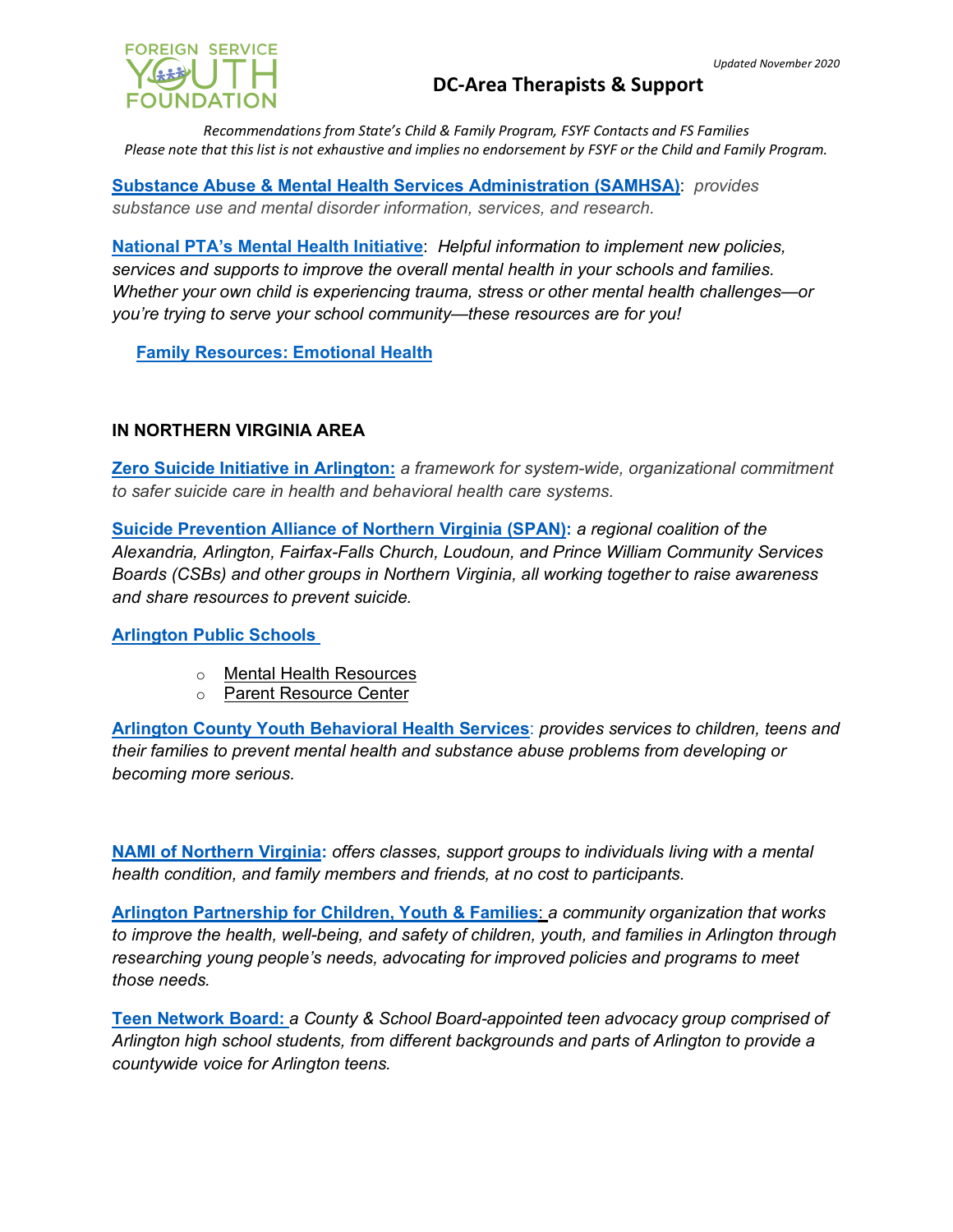

*Recommendations from State's Child & Family Program, FSYF Contacts and FS Families Please note that this list is not exhaustive and implies no endorsement by FSYF or the Child and Family Program.*

**[Substance Abuse & Mental Health Services Administration \(SAMHSA\)](https://www.samhsa.gov/prevention)**: *provides substance use and mental disorder information, services, and research.*

**[National PTA's Mental Health Initiative](https://www.pta.org/)**: *Helpful information to implement new policies, services and supports to improve the overall mental health in your schools and families. Whether your own child is experiencing trauma, stress or other mental health challenges—or you're trying to serve your school community—these resources are for you!*

**[Family Resources: Emotional Health](https://www.pta.org/home/family-resources/health/Emotional-Health)**

### **IN NORTHERN VIRGINIA AREA**

**[Zero Suicide](https://zerosuicide.sprc.org/) Initiative in [Arlington:](https://health.arlingtonva.us/suicide-prevention-awareness/)** *a framework for system-wide, organizational commitment to safer suicide care in health and behavioral health care systems.*

**[Suicide Prevention Alliance of Northern Virginia \(SPAN\):](http://www.suicidepreventionnva.org/)** *a regional coalition of the Alexandria, Arlington, Fairfax-Falls Church, Loudoun, and Prince William Community Services Boards (CSBs) and other groups in Northern Virginia, all working together to raise awareness and share resources to prevent suicide.*

### **[Arlington Public Schools](https://www.apsva.us/mental-health-services/mental-health-resources/)**

- o [Mental Health Resources](https://www.apsva.us/mental-health-services/mental-health-resources/)
- o [Parent Resource Center](https://www.apsva.us/special-education/parent-resource-center/)

**Arlington County [Youth Behavioral Health Services](https://family.arlingtonva.us/childrens-behavioral-healthcare/)**: *provides services to children, teens and their families to prevent mental health and substance abuse problems from developing or becoming more serious.*

**[NAMI of Northern Virginia:](https://www.nami-northernvirginia.org/)** *offers classes, support groups to individuals living with a mental health condition, and family members and friends, at no cost to participants.*

**[Arlington Partnership for Children, Youth & Families](https://apcyf.arlingtonva.us/)**: *a community organization that works to improve the health, well-being, and safety of children, youth, and families in Arlington through researching young people's needs, advocating for improved policies and programs to meet those needs.*

**[Teen Network Board:](https://teens.arlingtonva.us/tnb/)** *a County & School Board-appointed teen advocacy group comprised of Arlington high school students, from different backgrounds and parts of Arlington to provide a countywide voice for Arlington teens.*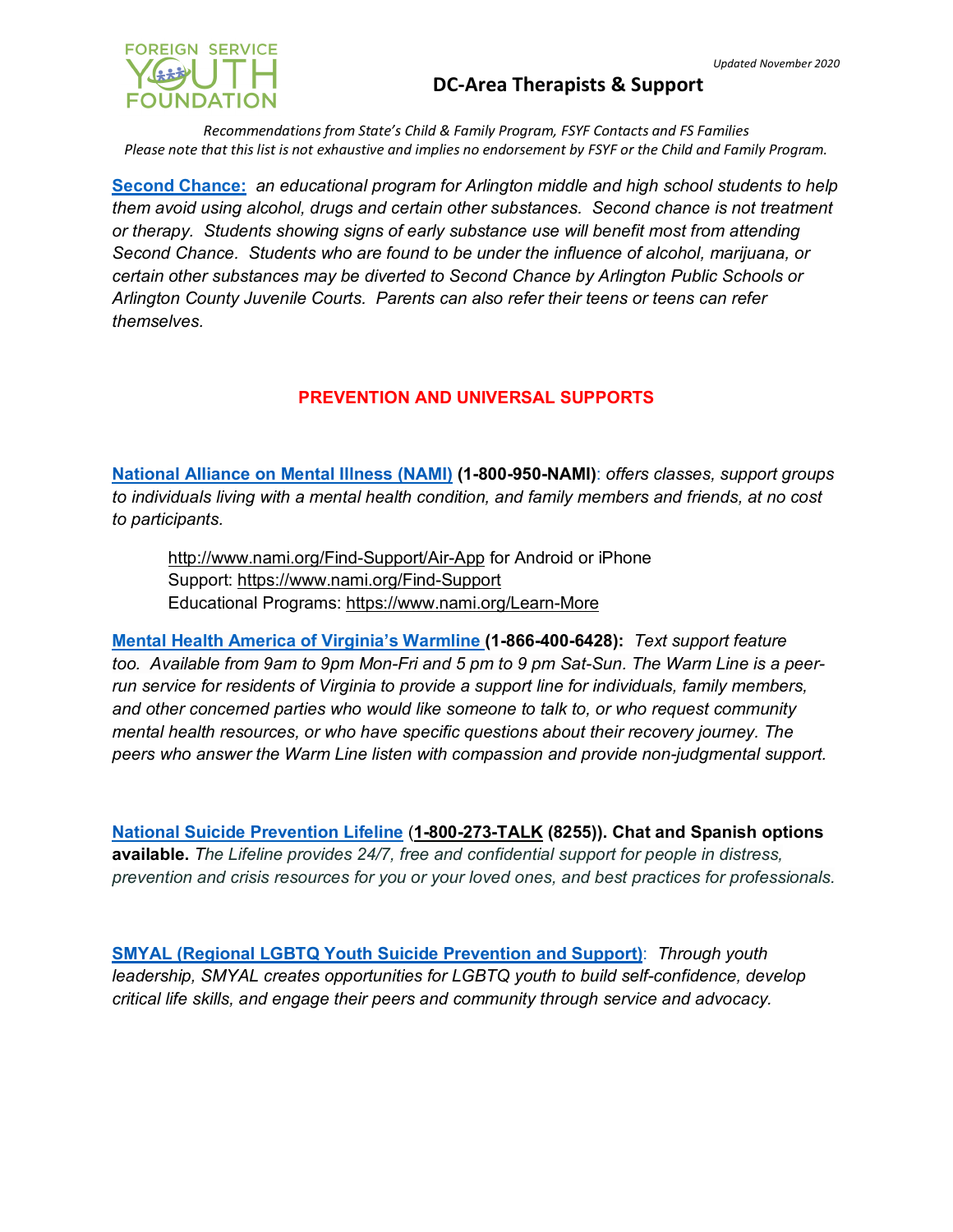

*Recommendations from State's Child & Family Program, FSYF Contacts and FS Families Please note that this list is not exhaustive and implies no endorsement by FSYF or the Child and Family Program.*

**[Second Chance:](https://secondchancearlington.org/)** *an educational program for Arlington middle and high school students to help them avoid using alcohol, drugs and certain other substances. Second chance is not treatment or therapy. Students showing signs of early substance use will benefit most from attending Second Chance. Students who are found to be under the influence of alcohol, marijuana, or certain other substances may be diverted to Second Chance by Arlington Public Schools or Arlington County Juvenile Courts. Parents can also refer their teens or teens can refer themselves.*

### **PREVENTION AND UNIVERSAL SUPPORTS**

**[National Alliance on Mental Illness \(NAMI\)](http://www.nami.org/) (1-800-950-NAMI)**: *offers classes, support groups to individuals living with a mental health condition, and family members and friends, at no cost to participants.*

<http://www.nami.org/Find-Support/Air-App> for Android or iPhone Support:<https://www.nami.org/Find-Support> Educational Programs:<https://www.nami.org/Learn-More>

**[Mental Health America of Virginia's Warmline \(](https://mhav.org/support/warm-line/)1-866-400-6428):** *Text support feature*  too. Available from 9am to 9pm Mon-Fri and 5 pm to 9 pm Sat-Sun. The Warm Line is a peer*run service for residents of Virginia to provide a support line for individuals, family members, and other concerned parties who would like someone to talk to, or who request community mental health resources, or who have specific questions about their recovery journey. The peers who answer the Warm Line listen with compassion and provide non-judgmental support.*

**[National Suicide Prevention Lifeline](http://www.suicidepreventionlifeline.org/)** (**[1-800-273-TALK](about:blank) (8255)). Chat and Spanish options available.** *The Lifeline provides 24/7, free and confidential support for people in distress, prevention and crisis resources for you or your loved ones, and best practices for professionals.*

**[SMYAL \(Regional LGBTQ Youth Suicide Prevention and Support\)](http://www.smyal.org/resources)**: *Through youth leadership, SMYAL creates opportunities for LGBTQ youth to build self-confidence, develop critical life skills, and engage their peers and community through service and advocacy.*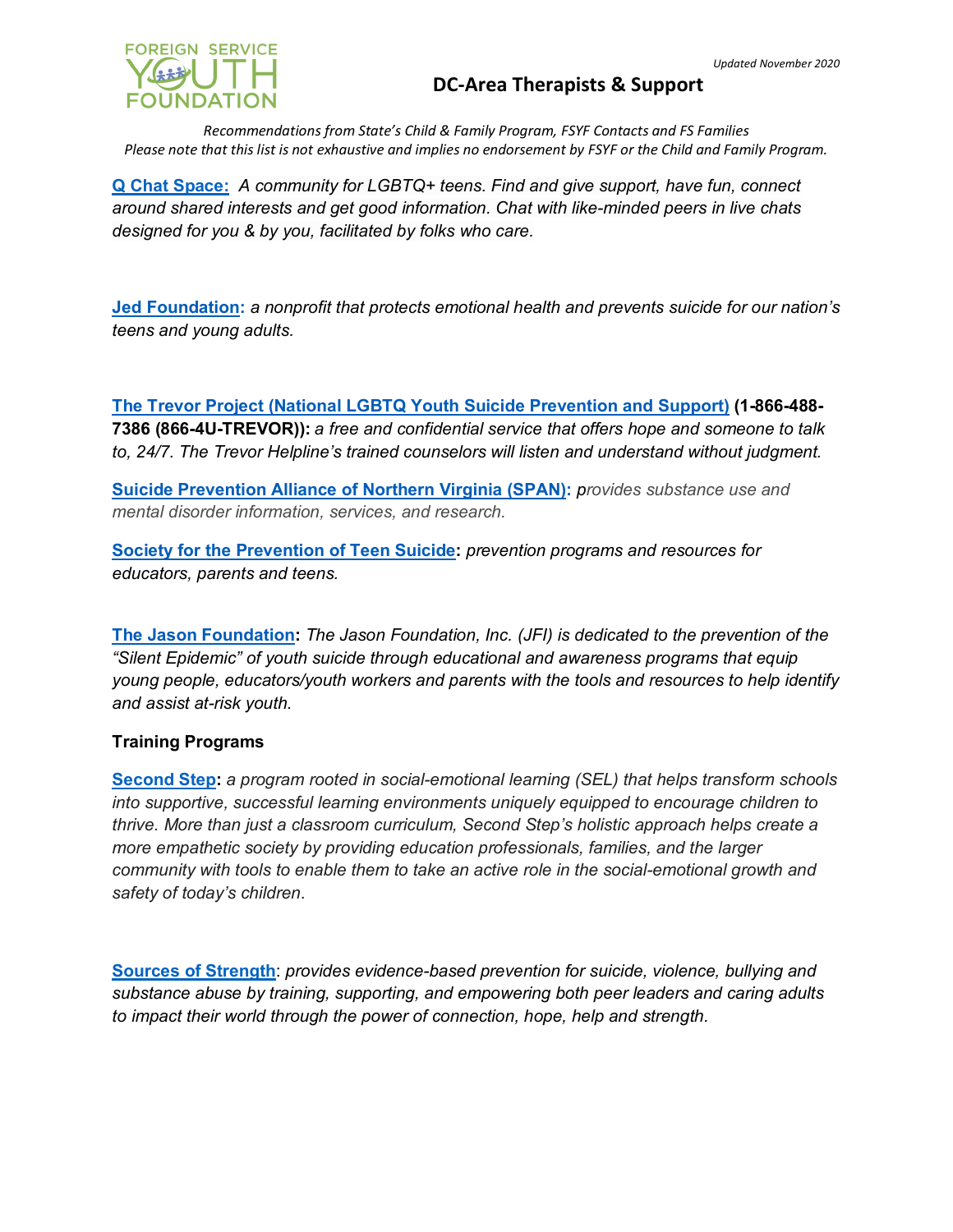

*Recommendations from State's Child & Family Program, FSYF Contacts and FS Families Please note that this list is not exhaustive and implies no endorsement by FSYF or the Child and Family Program.*

**[Q Chat Space:](https://www.qchatspace.org/)** *A community for LGBTQ+ teens. Find and give support, have fun, connect around shared interests and get good information. Chat with like-minded peers in live chats designed for you & by you, facilitated by folks who care.*

**[Jed Foundation:](https://www.jedfoundation.org/)** *a nonprofit that protects emotional health and prevents suicide for our nation's teens and young adults.*

**[The Trevor Project \(National LGBTQ Youth Suicide Prevention and Support\)](http://www.thetrevorproject.org/) (1-866-488- 7386 (866-4U-TREVOR)):** *a free and confidential service that offers hope and someone to talk to, 24/7. The Trevor Helpline's trained counselors will listen and understand without judgment.*

**[Suicide Prevention Alliance of Northern Virginia \(SPAN\):](http://www.suicidepreventionnva.org/)** *provides substance use and mental disorder information, services, and research.*

**[Society for the Prevention of Teen Suicide:](http://www.sptsusa.org/)** *prevention programs and resources for educators, parents and teens.*

**[The Jason Foundation:](https://jasonfoundation.com/)** *The Jason Foundation, Inc. (JFI) is dedicated to the prevention of the "Silent Epidemic" of youth suicide through educational and awareness programs that equip young people, educators/youth workers and parents with the tools and resources to help identify and assist at-risk youth.*

### **Training Programs**

**[Second Step:](https://www.secondstep.org/)** *a program rooted in social-emotional learning (SEL) that helps transform schools into supportive, successful learning environments uniquely equipped to encourage children to thrive. More than just a classroom curriculum, Second Step's holistic approach helps create a more empathetic society by providing education professionals, families, and the larger community with tools to enable them to take an active role in the social-emotional growth and safety of today's children*.

**[Sources of Strength](https://sourcesofstrength.org/)**: *provides evidence-based prevention for suicide, violence, bullying and substance abuse by training, supporting, and empowering both peer leaders and caring adults to impact their world through the power of connection, hope, help and strength.*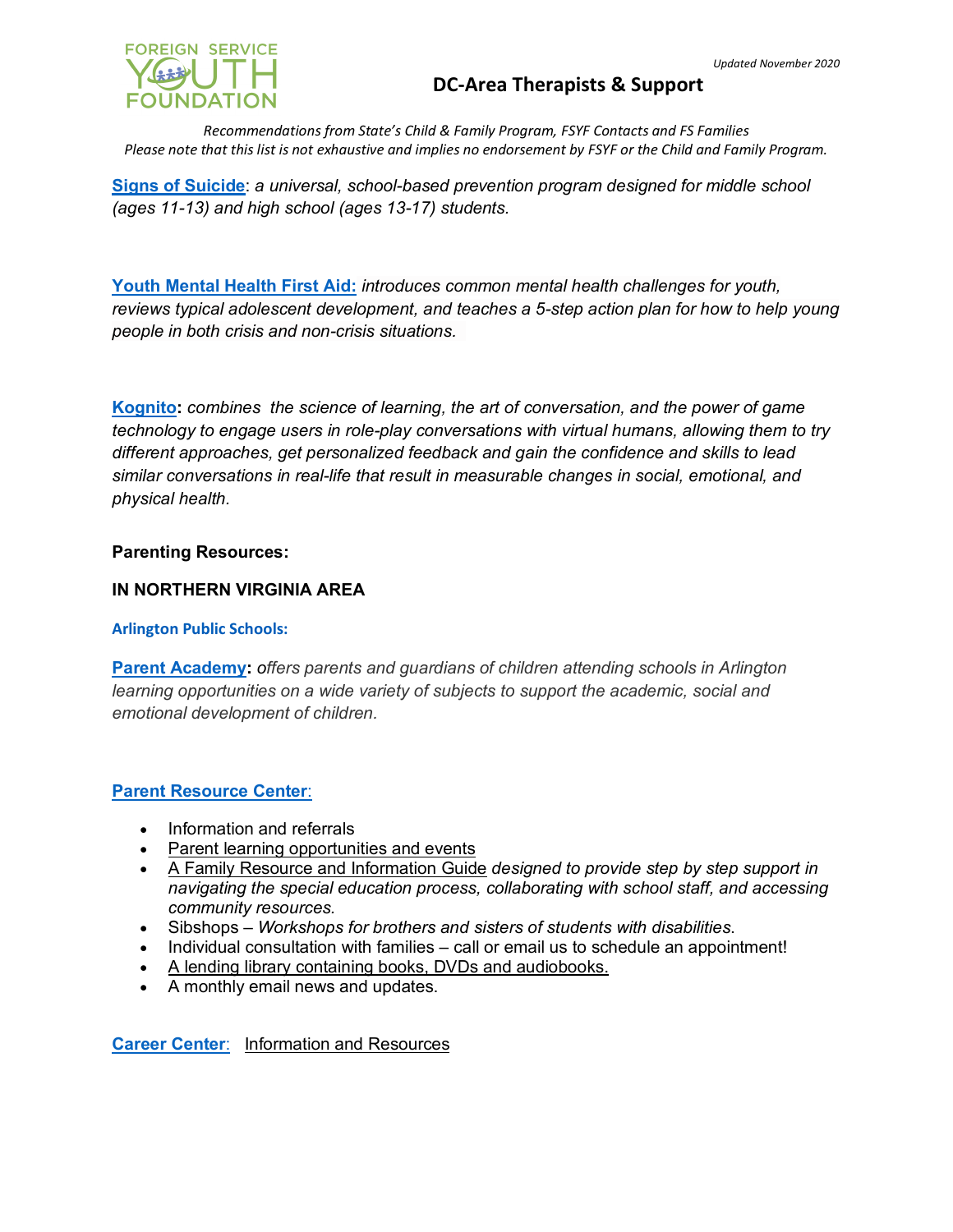

*Recommendations from State's Child & Family Program, FSYF Contacts and FS Families Please note that this list is not exhaustive and implies no endorsement by FSYF or the Child and Family Program.*

**[Signs of Suicide](https://www.sprc.org/resources-programs/sos-signs-suicide)**: *a universal, school-based prevention program designed for middle school (ages 11-13) and high school (ages 13-17) students.*

**[Youth Mental Health First Aid:](https://www.mentalhealthfirstaid.org/population-focused-modules/youth/)** *introduces common mental health challenges for youth, reviews typical adolescent development, and teaches a 5-step action plan for how to help young people in both crisis and non-crisis situations.* 

**[Kognito:](https://kognito.com/about)** *combines the science of learning, the art of conversation, and the power of game technology to engage users in role-play conversations with virtual humans, allowing them to try different approaches, get personalized feedback and gain the confidence and skills to lead similar conversations in real-life that result in measurable changes in social, emotional, and physical health.*

#### **Parenting Resources:**

#### **IN NORTHERN VIRGINIA AREA**

#### **Arlington Public Schools:**

**[Parent Academy:](https://parentacademymiami.com/)** *offers parents and guardians of children attending schools in Arlington learning opportunities on a wide variety of subjects to support the academic, social and emotional development of children.*

#### **[Parent Resource Center](https://www.apsva.us/special-education/parent-resource-center/)**:

- Information and referrals
- [Parent learning opportunities and events](https://www.apsva.us/special-education/parent-resource-center/event-calendar/)
- [A Family Resource and Information Guide](https://www.apsva.us/wp-content/uploads/2015/04/Family-Resource-Guide-FINAL-WEB-5.18.17.pdf) *designed to provide step by step support in navigating the special education process, collaborating with school staff, and accessing community resources.*
- Sibshops *Workshops for brothers and sisters of students with disabilities*.
- Individual consultation with families call or email us to schedule an appointment!
- [A lending library containing books, DVDs and audiobooks.](https://www.apsva.us/special-education/parent-resource-center/prc-library/)
- A monthly email news and updates.

**[Career Center](https://careercenter.apsva.us/): [Information and Resources](https://www.parentcenterhub.org/)**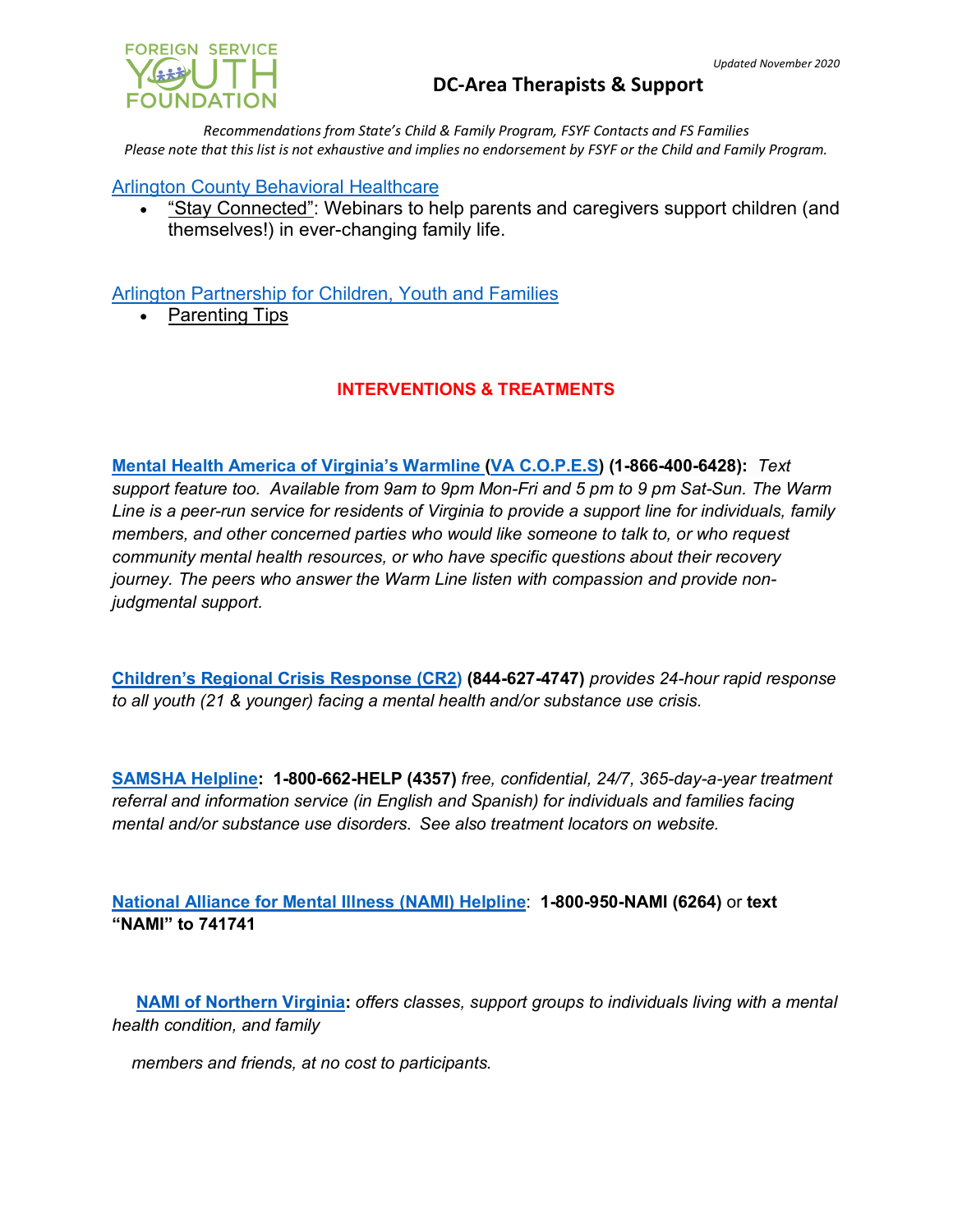

*Recommendations from State's Child & Family Program, FSYF Contacts and FS Families Please note that this list is not exhaustive and implies no endorsement by FSYF or the Child and Family Program.*

### [Arlington County Behavioral Healthcare](https://health.arlingtonva.us/behavioral-healthcare/)

• ["Stay Connected":](https://apcyf.arlingtonva.us/parent-support/) Webinars to help parents and caregivers support children (and themselves!) in ever-changing family life.

[Arlington Partnership for Children, Youth and Families](https://apcyf.arlingtonva.us/)

• [Parenting Tips](https://www.cdc.gov/ncbddd/childdevelopment/positiveparenting/index.html)

### **INTERVENTIONS & TREATMENTS**

**[Mental Health America of Virginia's Warmline](https://mhav.org/support/warm-line/) [\(VA C.O.P.E.S\)](https://vacopes.com/) (1-866-400-6428):** *Text support feature too. Available from 9am to 9pm Mon-Fri and 5 pm to 9 pm Sat-Sun. The Warm Line is a peer-run service for residents of Virginia to provide a support line for individuals, family members, and other concerned parties who would like someone to talk to, or who request community mental health resources, or who have specific questions about their recovery journey. The peers who answer the Warm Line listen with compassion and provide nonjudgmental support.*

**[Children's Regional Crisis Response \(CR2\)](http://ncgcommunity.com/crisis-services/cr2) (844-627-4747)** *provides 24-hour rapid response to all youth (21 & younger) facing a mental health and/or substance use crisis.*

**[SAMSHA Helpline:](https://www.samhsa.gov/) 1-800-662-HELP (4357)** *free, confidential, 24/7, 365-day-a-year treatment referral and information service (in English and Spanish) for individuals and families facing mental and/or substance use disorders. See also treatment locators on website.*

### **[National Alliance for Mental Illness \(NAMI\) Helpline](https://www.nami.org/help)**: **1-800-950-NAMI (6264)** or **text "NAMI" to 741741**

**NAMI [of Northern Virginia:](https://www.nami-northernvirginia.org/)** *offers classes, support groups to individuals living with a mental health condition, and family*

 *members and friends, at no cost to participants.*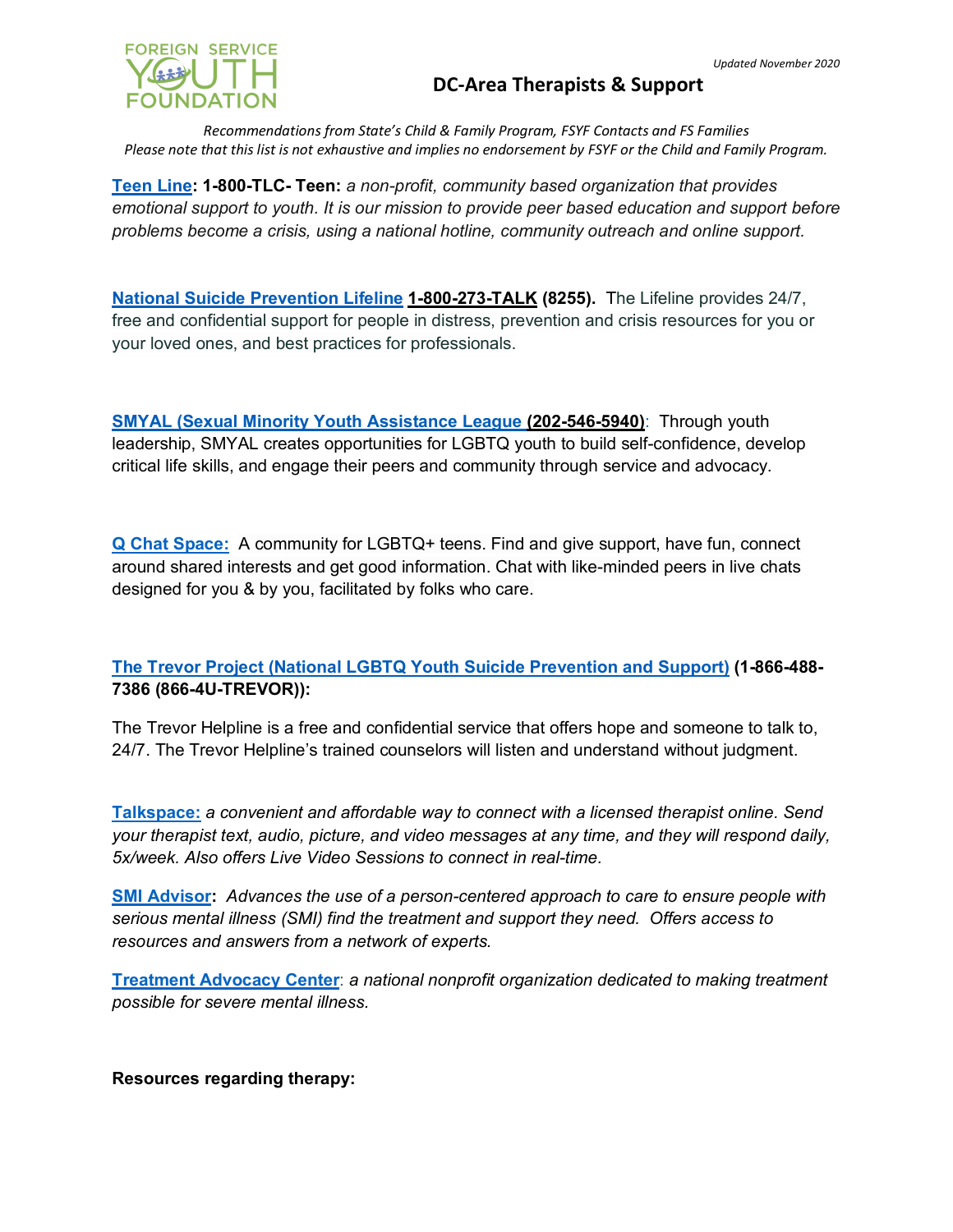

*Recommendations from State's Child & Family Program, FSYF Contacts and FS Families Please note that this list is not exhaustive and implies no endorsement by FSYF or the Child and Family Program.*

**[Teen Line:](https://teenlineonline.org/teentalkapp/) 1-800-TLC- Teen:** *a non-profit, community based organization that provides emotional support to youth. It is our mission to provide peer based education and support before problems become a crisis, using a national hotline, community outreach and online support.*

**[National Suicide Prevention Lifeline](http://www.suicidepreventionlifeline.org/) [1-800-273-TALK](about:blank) (8255).** The Lifeline provides 24/7, free and confidential support for people in distress, prevention and crisis resources for you or your loved ones, and best practices for professionals.

**[SMYAL \(Sexual Minority Youth Assistance League \(202-546-5940\)](http://www.smyal.org/resources)**: Through youth leadership, SMYAL creates opportunities for LGBTQ youth to build self-confidence, develop critical life skills, and engage their peers and community through service and advocacy.

**[Q Chat Space:](https://www.qchatspace.org/)** A community for LGBTQ+ teens. Find and give support, have fun, connect around shared interests and get good information. Chat with like-minded peers in live chats designed for you & by you, facilitated by folks who care.

### **[The Trevor Project \(National LGBTQ Youth Suicide Prevention and Support\)](http://www.thetrevorproject.org/) (1-866-488- 7386 (866-4U-TREVOR)):**

The Trevor Helpline is a free and confidential service that offers hope and someone to talk to, 24/7. The Trevor Helpline's trained counselors will listen and understand without judgment.

**[Talkspace:](https://www.talkspace.com/)** *a convenient and affordable way to connect with a licensed therapist online. Send your therapist text, audio, picture, and video messages at any time, and they will respond daily, 5x/week. Also offers Live Video Sessions to connect in real-time.*

**[SMI Advisor:](https://smiadviser.org/)** *Advances the use of a person-centered approach to care to ensure people with serious mental illness (SMI) find the treatment and support they need. Offers access to resources and answers from a network of experts.*

**[Treatment Advocacy Center](https://www.treatmentadvocacycenter.org/)**: *a national nonprofit organization dedicated to making treatment possible for severe mental illness.*

**Resources regarding therapy:**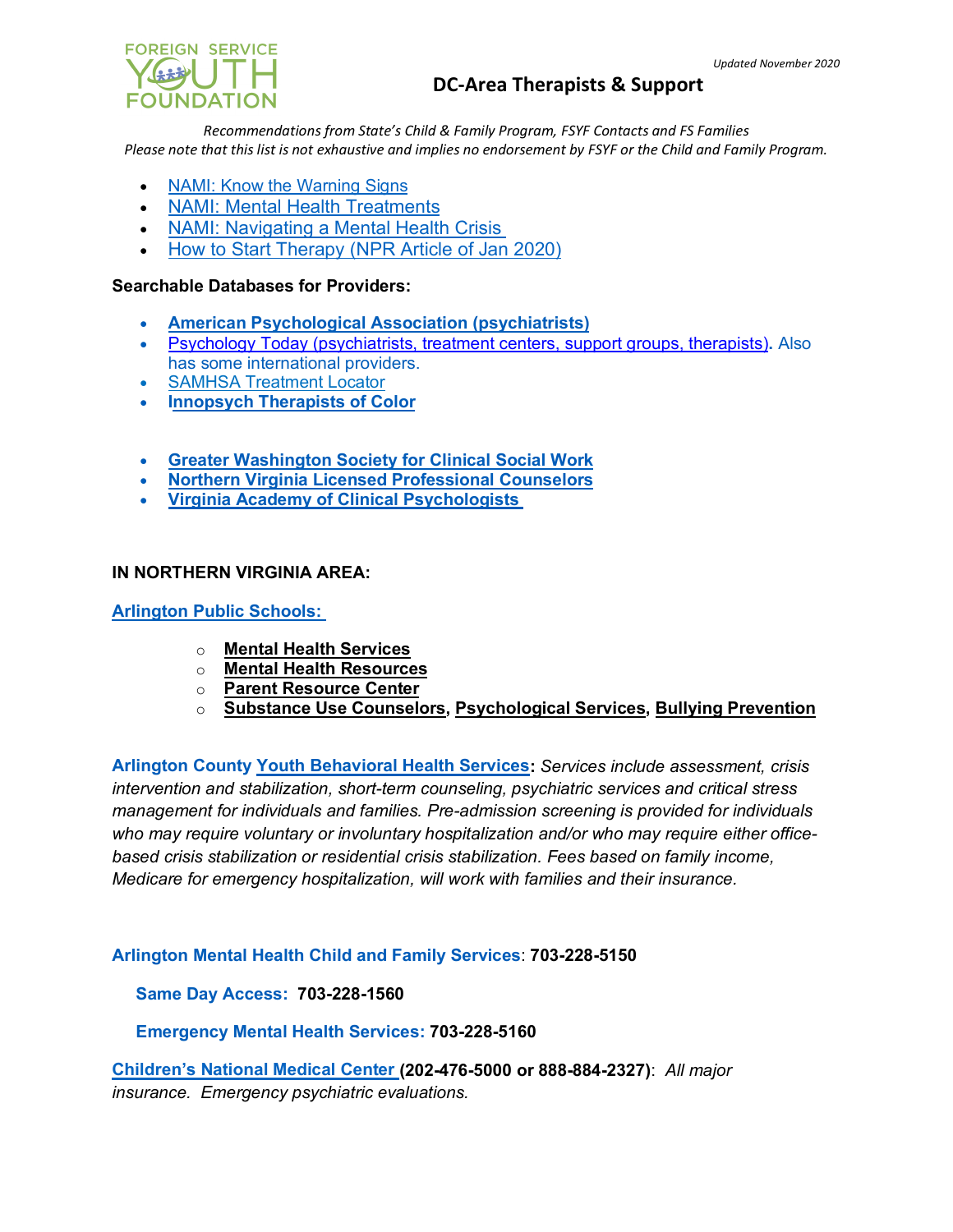

*Recommendations from State's Child & Family Program, FSYF Contacts and FS Families Please note that this list is not exhaustive and implies no endorsement by FSYF or the Child and Family Program.*

- [NAMI: Know the Warning Signs](https://nami.org/About-Mental-Illness/Warning-Signs-and-Symptoms)
- [NAMI: Mental Health Treatments](https://nami.org/About-Mental-Illness/Treatments)
- [NAMI: Navigating a Mental Health Crisis](https://www.nami.org/Support-Education/Publications-Reports/Guides/Navigating-a-Mental-Health-Crisis)
- [How to Start Therapy \(NPR Article of Jan 2020\)](https://www.npr.org/2019/12/11/787058888/how-to-start-therapy)

#### **Searchable Databases for Providers:**

- **[American Psychological Association](https://locator.apa.org/?_ga=2.84642649.1341540532.1586991876-461324098.1586991876) (psychiatrists)**
- [Psychology Today \(psychiatrists, treatment centers, support groups, therapists\)](https://www.psychologytoday.com/us/)**.** Also has some international providers.
- [SAMHSA Treatment Locator](https://www.samhsa.gov/find-treatment)
- **[Innopsych Therapists of Color](https://www.innopsych.com/)**
- **[Greater Washington Society for Clinical Social Work](https://www.gwscsw.org/Disclaimer)**
- **[Northern Virginia Licensed Professional Counselors](https://www.nvlpc.org/search/custom.asp?id=1453)**
- **[Virginia Academy of Clinical Psychologists](https://www.vapsych.org/find-a-clinical-psychologist-in-your-community#/)**

#### **IN NORTHERN VIRGINIA AREA:**

#### **[Arlington Public Schools:](https://www.apsva.us/mental-health-services/)**

- o **[Mental Health Services](https://www.apsva.us/mental-health-services/)**
- o **[Mental Health Resources](https://www.apsva.us/mental-health-services/mental-health-resources/)**
- o **[Parent Resource Center](https://www.apsva.us/special-education/parent-resource-center/)**
- o **[Substance Use Counselors,](https://www.apsva.us/student-services/substance-abuse-counselors/) [Psychological Services,](https://www.apsva.us/student-services/psychological-services/) [Bullying Prevention](https://www.apsva.us/student-services/bully-prevention/)**

**Arlington County [Youth Behavioral Health Services:](https://family.arlingtonva.us/childrens-behavioral-healthcare/)** *Services include assessment, crisis intervention and stabilization, short-term counseling, psychiatric services and critical stress management for individuals and families. Pre-admission screening is provided for individuals who may require voluntary or involuntary hospitalization and/or who may require either officebased crisis stabilization or residential crisis stabilization. Fees based on family income, Medicare for emergency hospitalization, will work with families and their insurance.*

**Arlington Mental Health Child and Family Services**: **703-228-5150**

**Same Day Access: 703-228-1560**

 **Emergency Mental Health Services: 703-228-5160**

**[Children's National Medical Center](https://childrensnational.org/) (202-476-5000 or 888-884-2327)**: *All major insurance. Emergency psychiatric evaluations.*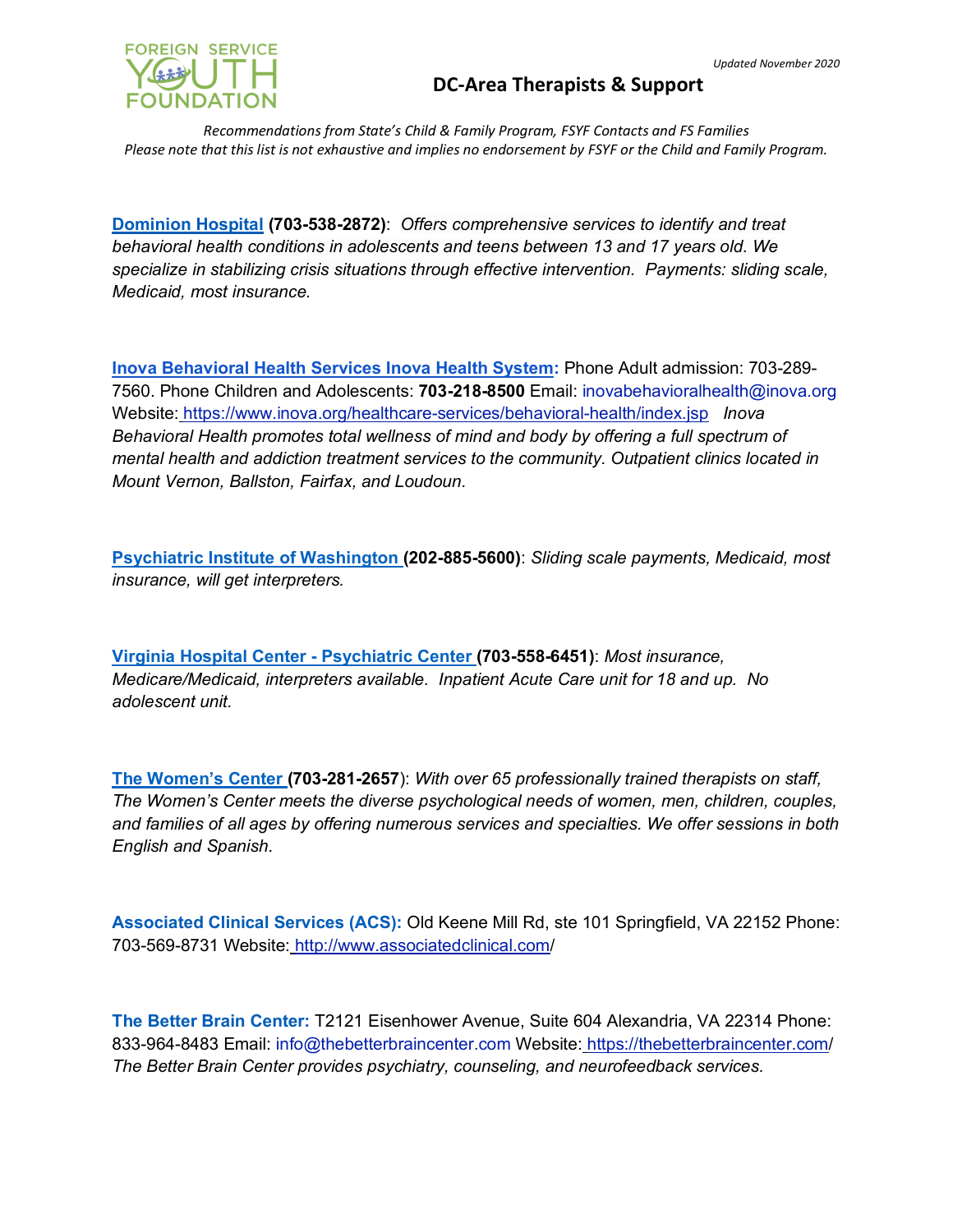

*Recommendations from State's Child & Family Program, FSYF Contacts and FS Families Please note that this list is not exhaustive and implies no endorsement by FSYF or the Child and Family Program.*

**[Dominion Hospital](https://dominionhospital.com/service/adolescent-mental-health-care) (703-538-2872)**: *Offers comprehensive services to identify and treat behavioral health conditions in adolescents and teens between 13 and 17 years old. We specialize in stabilizing crisis situations through effective intervention. Payments: sliding scale, Medicaid, most insurance.*

**Inova Behavioral Health Services Inova Health System:** Phone Adult admission: 703-289- 7560. Phone Children and Adolescents: **703-218-8500** Email: inovabehavioralhealth@inova.org Website: <https://www.inova.org/healthcare-services/behavioral-health/index.jsp> *Inova Behavioral Health promotes total wellness of mind and body by offering a full spectrum of mental health and addiction treatment services to the community. Outpatient clinics located in Mount Vernon, Ballston, Fairfax, and Loudoun.*

**[Psychiatric Institute of Washington](https://psychinstitute.com/) (202-885-5600)**: *Sliding scale payments, Medicaid, most insurance, will get interpreters.*

**[Virginia Hospital Center -](https://www.virginiahospitalcenter.com/medical-services/behavioral-mental-health/) Psychiatric Center (703-558-6451)**: *Most insurance, Medicare/Medicaid, interpreters available. Inpatient Acute Care unit for 18 and up. No adolescent unit.*

**[The Women's Center \(](https://thewomenscenter.org/)703-281-2657**): *With over 65 professionally trained therapists on staff, The Women's Center meets the diverse psychological needs of women, men, children, couples, and families of all ages by offering numerous services and specialties. We offer sessions in both English and Spanish.*

**Associated Clinical Services (ACS):** Old Keene Mill Rd, ste 101 Springfield, VA 22152 Phone: 703-569-8731 Website: <http://www.associatedclinical.com/>

**The Better Brain Center:** T2121 Eisenhower Avenue, Suite 604 Alexandria, VA 22314 Phone: 833-964-8483 Email: info@thebetterbraincenter.com Website: <https://thebetterbraincenter.com/> *The Better Brain Center provides psychiatry, counseling, and neurofeedback services.*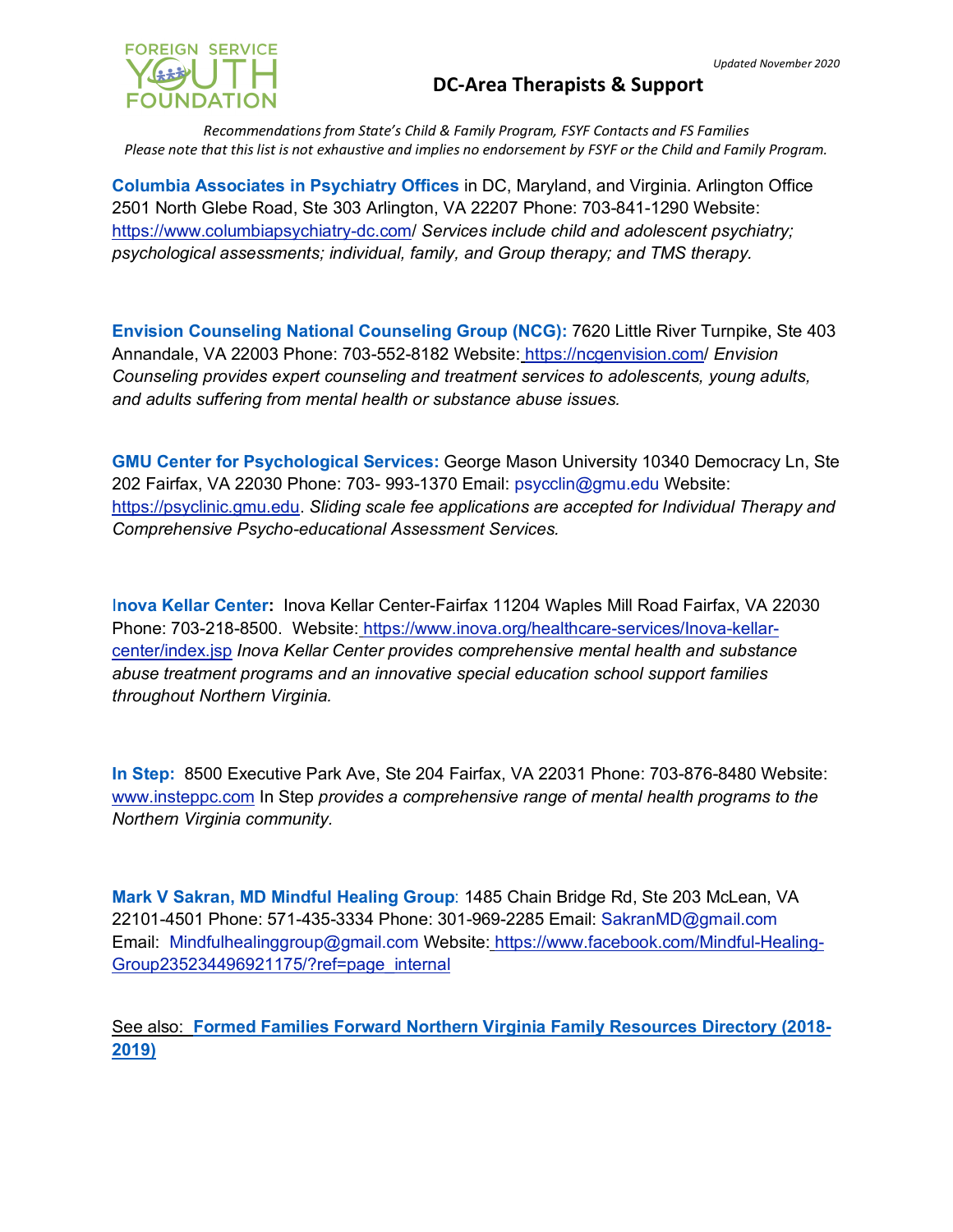

*Recommendations from State's Child & Family Program, FSYF Contacts and FS Families Please note that this list is not exhaustive and implies no endorsement by FSYF or the Child and Family Program.*

**Columbia Associates in Psychiatry Offices** in DC, Maryland, and Virginia. Arlington Office 2501 North Glebe Road, Ste 303 Arlington, VA 22207 Phone: 703-841-1290 Website[:](https://www.columbiapsychiatry-dc.com/) <https://www.columbiapsychiatry-dc.com/> *Services include child and adolescent psychiatry; psychological assessments; individual, family, and Group therapy; and TMS therapy.*

**Envision Counseling National Counseling Group (NCG):** 7620 Little River Turnpike, Ste 403 Annandale, VA 22003 Phone: 703-552-8182 Website: <https://ncgenvision.com/> *Envision Counseling provides expert counseling and treatment services to adolescents, young adults, and adults suffering from mental health or substance abuse issues.*

**GMU Center for Psychological Services:** George Mason University 10340 Democracy Ln, Ste 202 Fairfax, VA 22030 Phone: 703- 993-1370 Email: psycclin@gmu.edu Website[:](https://psyclinic.gmu.edu/) [https://psyclinic.gmu.edu.](https://psyclinic.gmu.edu/) *Sliding scale fee applications are accepted for Individual Therapy and Comprehensive Psycho-educational Assessment Services.*

I**nova Kellar Center:** Inova Kellar Center-Fairfax 11204 Waples Mill Road Fairfax, VA 22030 Phone: 703-218-8500. Website: [https://www.inova.org/healthcare-services/Inova-kellar](https://www.inova.org/healthcare-services/Inova-kellar-center/index.jsp)[center/index.jsp](https://www.inova.org/healthcare-services/Inova-kellar-center/index.jsp) *Inova Kellar Center provides comprehensive mental health and substance abuse treatment programs and an innovative special education school support families throughout Northern Virginia.*

**In Step:** 8500 Executive Park Ave, Ste 204 Fairfax, VA 22031 Phone: 703-876-8480 Website[:](http://www.insteppc.com/) [www.insteppc.com](http://www.insteppc.com/) In Step *provides a comprehensive range of mental health programs to the Northern Virginia community.*

**Mark V Sakran, MD Mindful Healing Group**: 1485 Chain Bridge Rd, Ste 203 McLean, VA 22101-4501 Phone: 571-435-3334 Phone: 301-969-2285 Email: SakranMD@gmail.com Email: Mindfulhealinggroup@gmail.com Website: [https://www.facebook.com/Mindful-Healing-](https://www.facebook.com/Mindful-Healing-Group235234496921175/?ref=page_internal)[Group235234496921175/?ref=page\\_internal](https://www.facebook.com/Mindful-Healing-Group235234496921175/?ref=page_internal)

See also: **[Formed Families Forward Northern Virginia Family Resources Directory \(2018-](https://www.formedfamiliesforward.org/wp-content/uploads/2018/08/2018-2019-Formed-Families-Resource-Directory.pdf) [2019\)](https://www.formedfamiliesforward.org/wp-content/uploads/2018/08/2018-2019-Formed-Families-Resource-Directory.pdf)**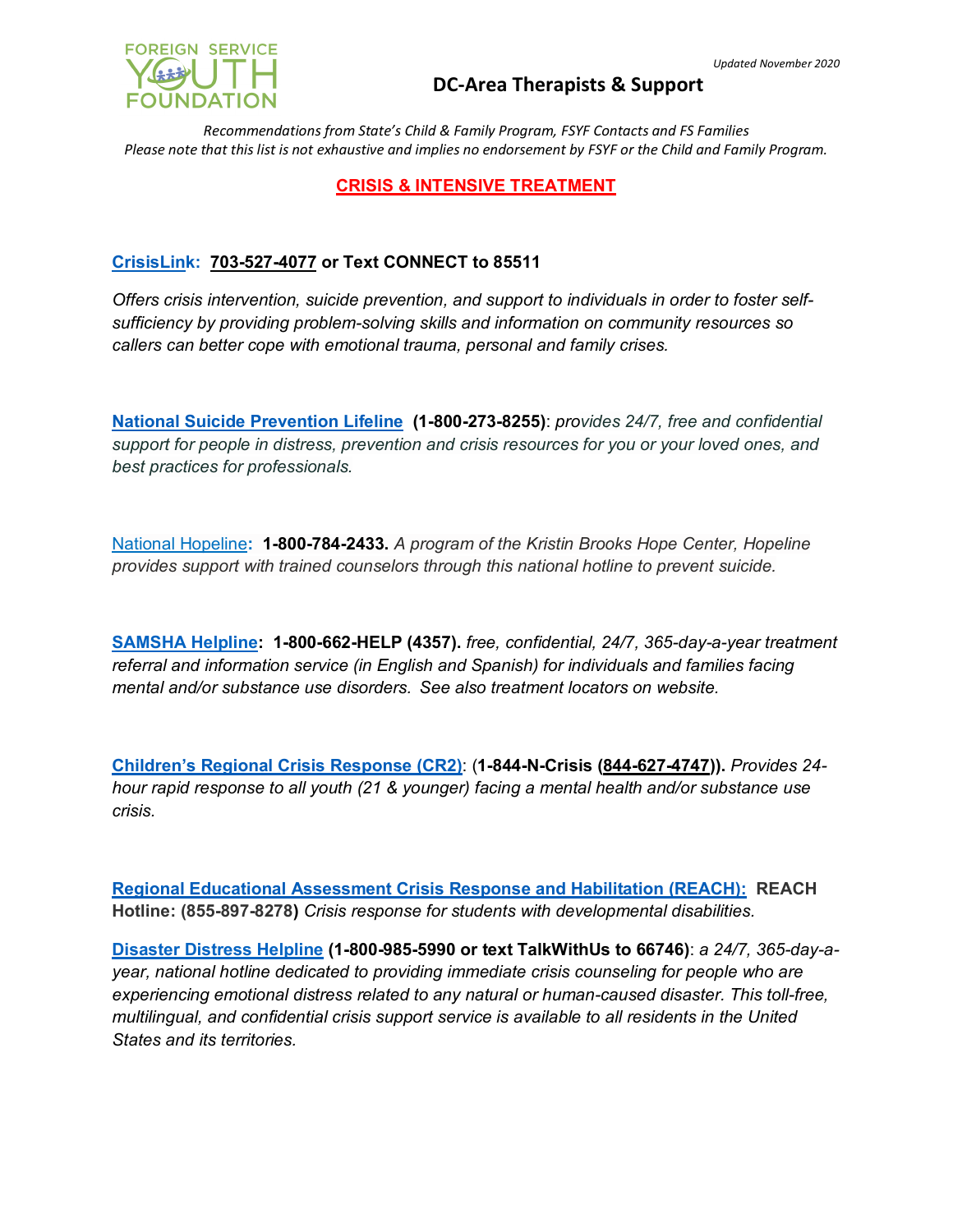

*Recommendations from State's Child & Family Program, FSYF Contacts and FS Families Please note that this list is not exhaustive and implies no endorsement by FSYF or the Child and Family Program.*

### **CRISIS & INTENSIVE TREATMENT**

### **[CrisisLink](https://prsinc.org/crisislink/): [703-527-4077](about:blank) or Text CONNECT to 85511**

*Offers crisis intervention, suicide prevention, and support to individuals in order to foster selfsufficiency by providing problem-solving skills and information on community resources so callers can better cope with emotional trauma, personal and family crises.*

**[National Suicide Prevention Lifeline](https://suicidepreventionlifeline.org/) (1-800-273-8255)**: *provides 24/7, free and confidential support for people in distress, prevention and crisis resources for you or your loved ones, and best practices for professionals.*

[National Hopeline](https://nationaltoolkit.csw.fsu.edu/resource/national-hopeline-network-suicide-crisis-hotline-1-800-442-hope4673/)**: 1-800-784-2433.** *A program of the Kristin Brooks Hope Center, Hopeline provides support with trained counselors through this national hotline to prevent suicide.*

**[SAMSHA Helpline:](https://www.samhsa.gov/) 1-800-662-HELP (4357).** *free, confidential, 24/7, 365-day-a-year treatment referral and information service (in English and Spanish) for individuals and families facing mental and/or substance use disorders. See also treatment locators on website.*

**[Children's Regional Crisis Response \(CR2\)](http://ncgcommunity.com/crisis-services/cr2)**: (**1-844-N-Crisis [\(844-627-4747\)](about:blank)).** *Provides 24 hour rapid response to all youth (21 & younger) facing a mental health and/or substance use crisis.*

**[Regional Educational Assessment Crisis Response and Habilitation \(REACH\):](http://www.dbhds.virginia.gov/developmental-services/Crisis-services) REACH Hotline: (855-897-8278)** *Crisis response for students with developmental disabilities.*

**[Disaster Distress Helpline](https://www.samhsa.gov/find-help/disaster-distress-helpline) (1-800-985-5990 or text TalkWithUs to 66746)**: *a 24/7, 365-day-ayear, national hotline dedicated to providing immediate crisis counseling for people who are experiencing emotional distress related to any natural or human-caused disaster. This toll-free, multilingual, and confidential crisis support service is available to all residents in the United States and its territories.*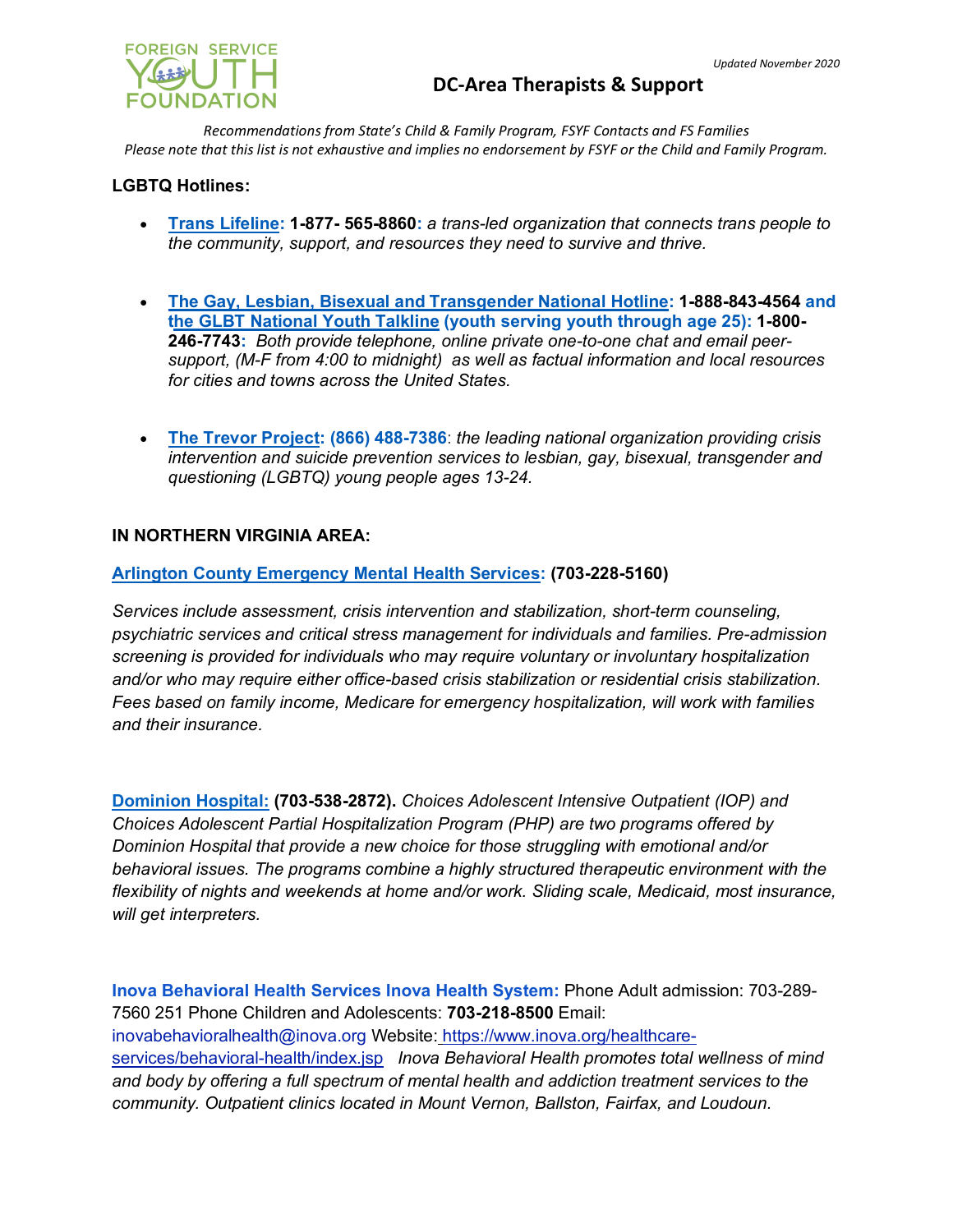

*Recommendations from State's Child & Family Program, FSYF Contacts and FS Families Please note that this list is not exhaustive and implies no endorsement by FSYF or the Child and Family Program.*

### **LGBTQ Hotlines:**

- **[Trans Lifeline:](https://www.translifeline.org/) 1-877- 565-8860:** *a trans-led organization that connects trans people to the community, support, and resources they need to survive and thrive.*
- **[The Gay, Lesbian, Bisexual and Transgender National Hotline:](http://www.glbthotline.org/hotline.html) 1-888-843-4564 and [the GLBT National Youth Talkline](http://www.glbthotline.org/talkline.html) (youth serving youth through age 25): 1-800- 246-7743:** *Both provide telephone, online private one-to-one chat and email peersupport, (M-F from 4:00 to midnight) as well as factual information and local resources for cities and towns across the United States.*
- **[The Trevor Project:](http://www.thetrevorproject.org/) (866) 488-7386**: *the leading national organization providing crisis intervention and suicide prevention services to lesbian, gay, bisexual, transgender and questioning (LGBTQ) young people ages 13-24.*

### **IN NORTHERN VIRGINIA AREA:**

#### **[Arlington County Emergency Mental Health Services:](https://health.arlingtonva.us/behavioral-healthcare/mental-health/emergency-services/) (703-228-5160)**

*Services include assessment, crisis intervention and stabilization, short-term counseling, psychiatric services and critical stress management for individuals and families. Pre-admission screening is provided for individuals who may require voluntary or involuntary hospitalization and/or who may require either office-based crisis stabilization or residential crisis stabilization. Fees based on family income, Medicare for emergency hospitalization, will work with families and their insurance.*

**[Dominion Hospital:](https://dominionhospital.com/service/choices-outpatient-services) (703-538-2872).** *Choices Adolescent Intensive Outpatient (IOP) and Choices Adolescent Partial Hospitalization Program (PHP) are two programs offered by Dominion Hospital that provide a new choice for those struggling with emotional and/or behavioral issues. The programs combine a highly structured therapeutic environment with the flexibility of nights and weekends at home and/or work. Sliding scale, Medicaid, most insurance, will get interpreters.*

**Inova Behavioral Health Services Inova Health System:** Phone Adult admission: 703-289- 7560 251 Phone Children and Adolescents: **703-218-8500** Email: inovabehavioralhealth@inova.org Website: [https://www.inova.org/healthcare](https://www.inova.org/healthcare-services/behavioral-health/index.jsp)[services/behavioral-health/index.jsp](https://www.inova.org/healthcare-services/behavioral-health/index.jsp) *Inova Behavioral Health promotes total wellness of mind and body by offering a full spectrum of mental health and addiction treatment services to the community. Outpatient clinics located in Mount Vernon, Ballston, Fairfax, and Loudoun.*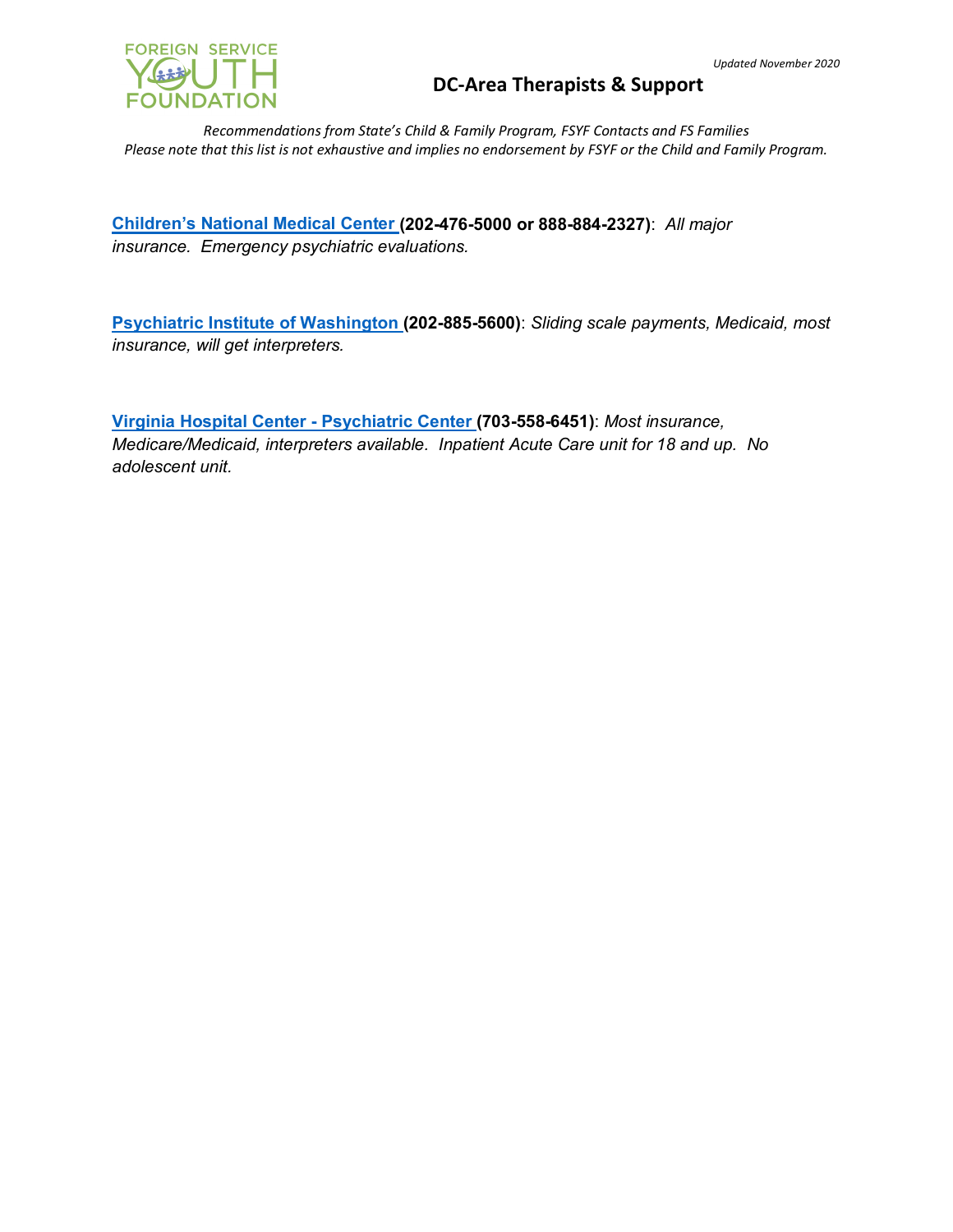

*Recommendations from State's Child & Family Program, FSYF Contacts and FS Families Please note that this list is not exhaustive and implies no endorsement by FSYF or the Child and Family Program.*

**[Children's National Medical Center](https://childrensnational.org/) (202-476-5000 or 888-884-2327)**: *All major insurance. Emergency psychiatric evaluations.*

**[Psychiatric Institute of Washington](https://psychinstitute.com/) (202-885-5600)**: *Sliding scale payments, Medicaid, most insurance, will get interpreters.*

**Virginia Hospital Center - [Psychiatric Center \(](https://www.virginiahospitalcenter.com/medical-services/behavioral-mental-health/)703-558-6451)**: *Most insurance, Medicare/Medicaid, interpreters available. Inpatient Acute Care unit for 18 and up. No adolescent unit.*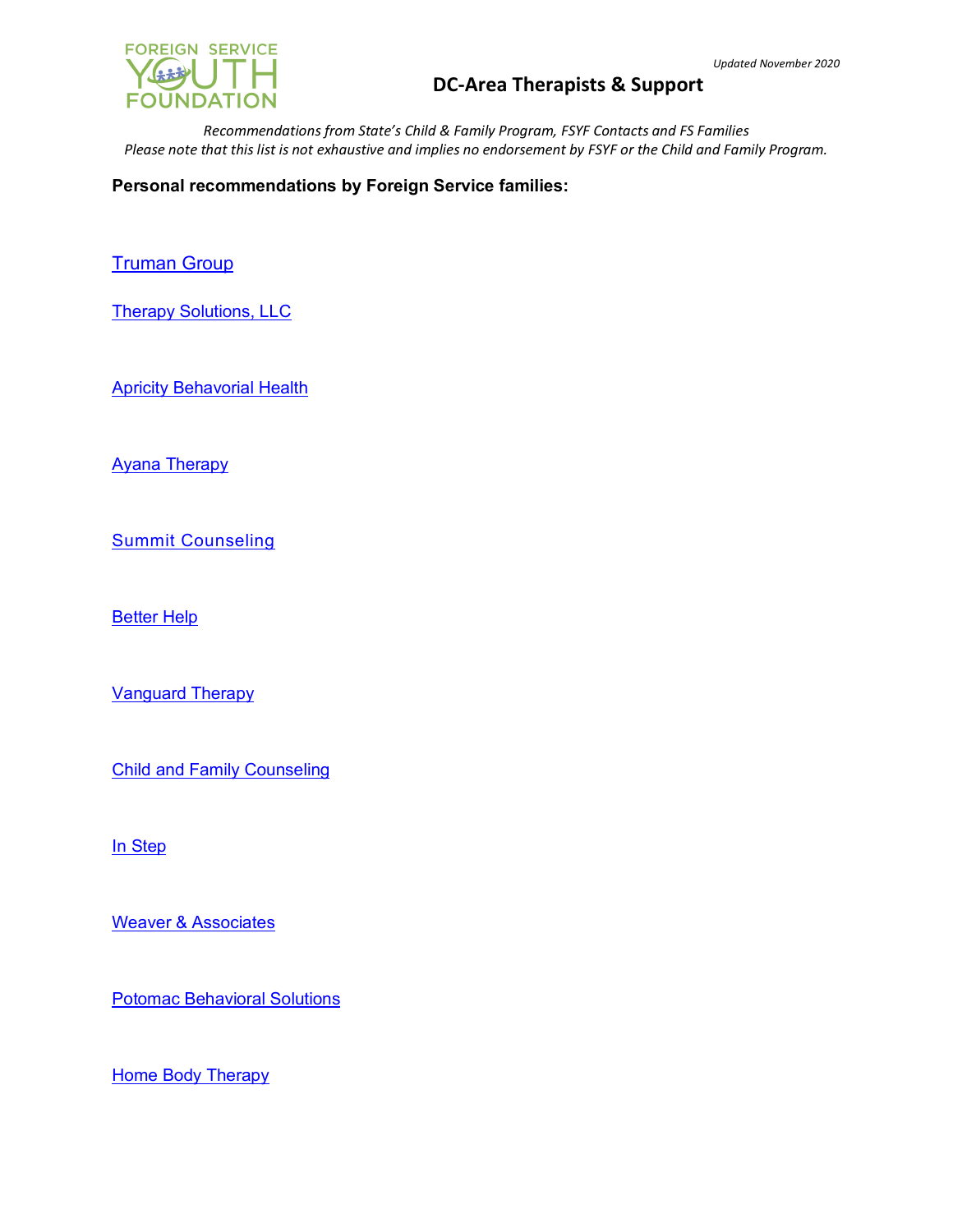

*Recommendations from State's Child & Family Program, FSYF Contacts and FS Families Please note that this list is not exhaustive and implies no endorsement by FSYF or the Child and Family Program.*

**Personal recommendations by Foreign Service families:**

**[Truman Group](https://truman-group.com/)** 

[Therapy Solutions, LLC](https://www.therapysolns.com/?fbclid=IwAR3OqncR4xhjSXX57TZBzwgGU08ojqbiuV-65S9oO1ayAyviWbHv5wNoxFQ) 

**[Apricity Behavorial Health](https://www.apricitybehavioralhealth.com/)** 

[Ayana Therapy](https://www.ayanatherapy.com/)

[Summit Counseling](https://summitcounselingservices.com/)

**Better Help** 

[Vanguard Therapy](http://www.vanguardtherapy.com/)

[Child and Family Counseling](https://www.childandfamilycounseling.com/?fbclid=IwAR3HYCqV2s6skb_gCYj0RLprPaiRPX3sCIDMZeKLjos1SocUPdDTo0Ep48s)

[In Step](https://insteppc.com/?fbclid=IwAR23ZZas4ASMT0jzUHhsUyEW2wQR_bRq7_hvqkFDePge0YlRJqdet6gKwk4)

[Weaver & Associates](https://weaverandassociates.net/)

[Potomac Behavioral Solutions](https://www.pbshealthcare.com/)

**[Home Body Therapy](https://www.homebodytherapy.com/?fbclid=IwAR2sS7XEVk0rapDkzFVpjYQ12E5Gq6JmAQCTUhDML0mAeRnUvitaLOsIjM8)**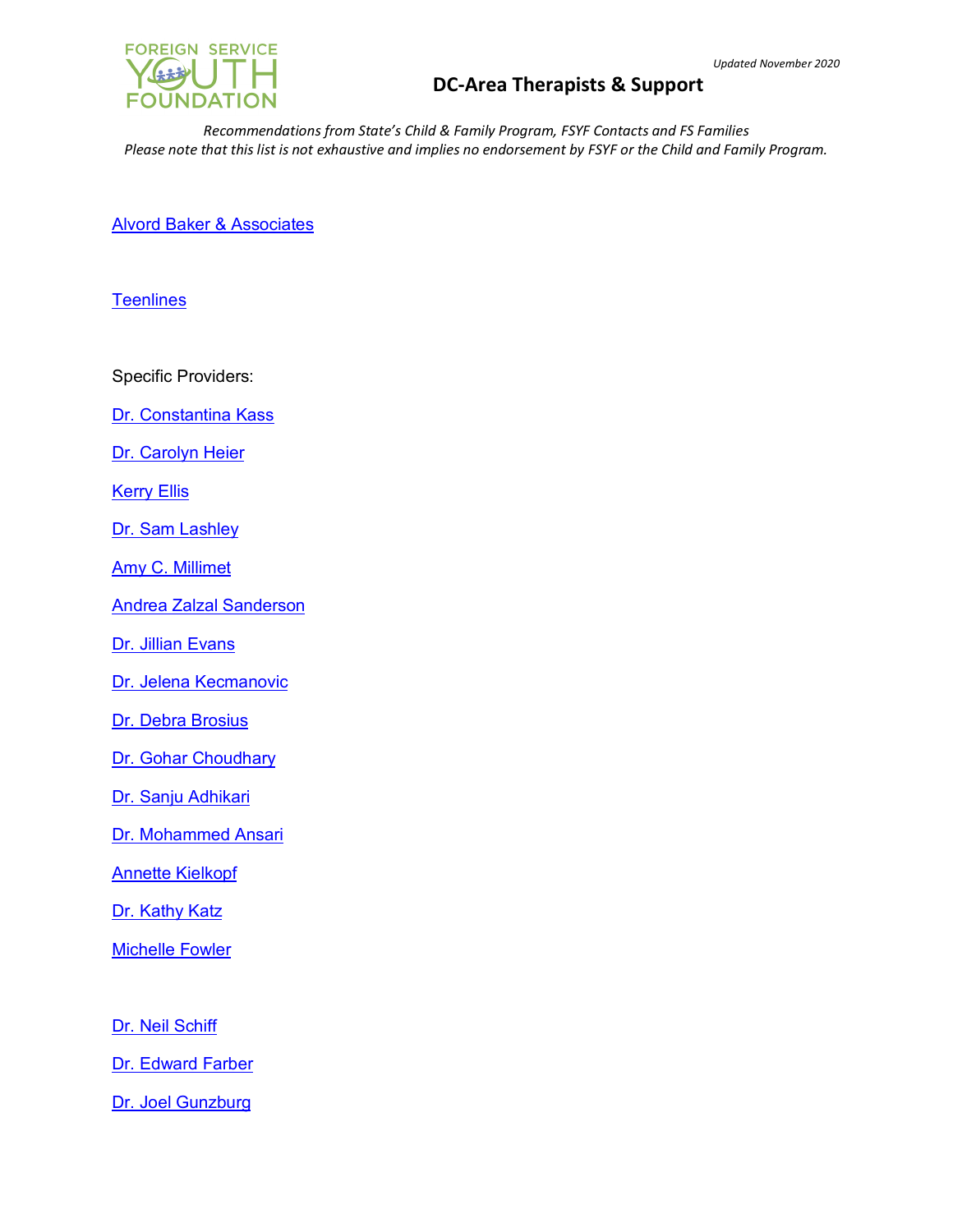

*Recommendations from State's Child & Family Program, FSYF Contacts and FS Families Please note that this list is not exhaustive and implies no endorsement by FSYF or the Child and Family Program.*

[Alvord Baker & Associates](https://www.alvordbaker.com/)

**[Teenlines](https://teenlines.com/)** 

Specific Providers:

[Dr. Constantina Kass](https://insteppc.com/constantina-n-kass-ph-d-ncsp/)

[Dr. Carolyn Heier](https://www.psychologytoday.com/us/therapists/carolyn-a-heier-mclean-va/327786)

[Kerry Ellis](https://aahs.org/find-a-provider/Kerry-Ellis/)

[Dr. Sam Lashley](https://www.psychologytoday.com/us/therapists/sam-lashley-arlington-va/34445)

[Amy C. Millimet](https://www.millimettherapy.com/?fbclid=IwAR0s2UlTzLtC5hdwbGHOJkuHBm5VBTpJZ4KU5HN8E94kmUN0WLgBCPKkk7c)

[Andrea Zalzal Sanderson](https://www.psychologytoday.com/us/therapists/andrea-zalzal-sanderson-alexandria-va/151306)

[Dr. Jillian Evans](https://health.usnews.com/doctors/jillian-evans-78114)

[Dr. Jelena Kecmanovic](https://arlingtonbehaviortherapy.com/staff/drkpsychologist/?fbclid=IwAR1grcSvJYEIi7J2hHGa3JkCElOcFVUGyVGmW-5_b4l8pGspA0bn3h1sSlo)

[Dr. Debra Brosius](https://debrabrosius.com/?fbclid=IwAR3za0dXxTLqmXbxWs7is-jAGXryTFH3DrZOSDjuHoQ7gm9i91GUI6qGoSc)

[Dr. Gohar Choudhary](https://www.psychologytoday.com/us/psychiatrists/gohar-choudhary-chantilly-va/127573?fbclid=IwAR3VyE29iVnLw9DZhsc8623jBDn77UCrFJOD2INN78JLlGUA3QGP4su1Xzs)

[Dr. Sanju Adhikari](https://hellomypsychiatrist.com/?fbclid=IwAR1rLas9fVyX2wwCttRSVbtcT7RjWxN8QZRxruWydECSZmtVfkpG6XPcsN4)

[Dr. Mohammed Ansari](https://viennabh.com/)

[Annette Kielkopf](http://www.annettekielkopf.com/?fbclid=IwAR1grcSvJYEIi7J2hHGa3JkCElOcFVUGyVGmW-5_b4l8pGspA0bn3h1sSlo)

[Dr. Kathy Katz](https://www.medstarhealth.org/doctor/dr-kathy-silver-katz-phd/)

[Michelle Fowler](https://azcenterformft.com/our_staff/michelle-fowler/)

[Dr. Neil Schiff](https://www.topnpi.com/dc1770697369/dr-neil-schiff)

[Dr. Edward Farber](http://restonpsych.com/about.htm)

[Dr. Joel Gunzburg](https://www.psychologytoday.com/us/therapists/joel-gunzburg-bethesda-md/46313)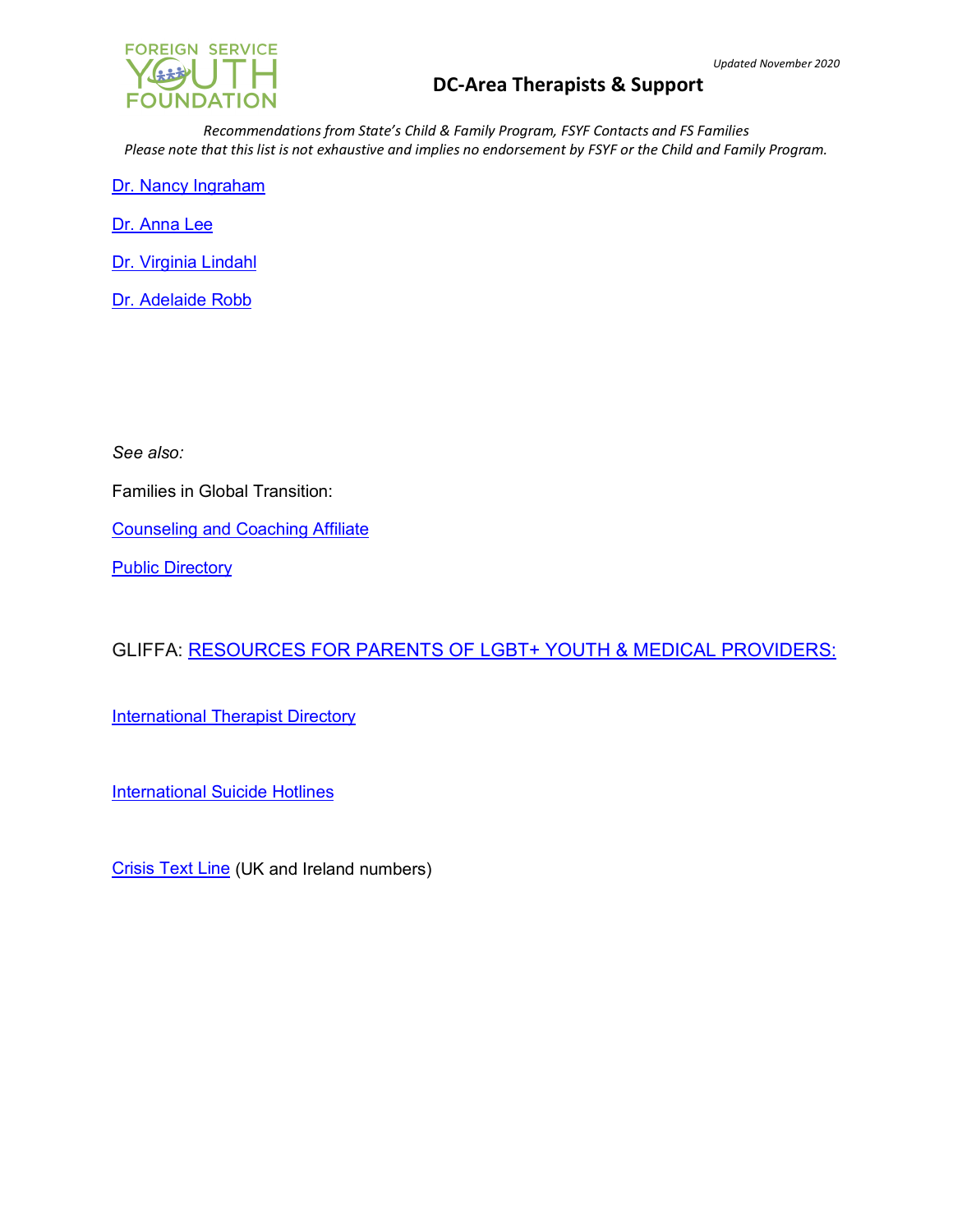

*Recommendations from State's Child & Family Program, FSYF Contacts and FS Families Please note that this list is not exhaustive and implies no endorsement by FSYF or the Child and Family Program.*

[Dr. Nancy Ingraham](https://www.psychologytoday.com/us/therapists/nancy-ingraham-chevy-chase-md/117127)

[Dr. Anna Lee](https://www.psychologytoday.com/us/therapists/anna-c-lee-fairfax-va/77395)

[Dr. Virginia Lindahl](https://www.psychologytoday.com/us/therapists/virginia-lindahl-alexandria-va/42216)

[Dr. Adelaide Robb](https://childrensnational.org/visit/find-a-provider/adelaide-robb)

*See also:*

Families in Global Transition:

[Counseling and Coaching Affiliate](https://www.figt.org/counseling-coaching-affiliate)

**[Public Directory](https://www.figt.org/Member-Directory-Public)** 

GLIFFA: [RESOURCES FOR PARENTS OF LGBT+ YOUTH & MEDICAL PROVIDERS:](https://glifaa.org/2020/03/17/resources-for-parents-of-lgbt-youth-medical-providers/?fbclid=IwAR3ZvsEdKyA-LSL3ahF1eTQTpQLOC_Tj4NmTH0uIuDFbO-GQ6cE_pcWMoN4)

**[International Therapist Directory](https://internationaltherapistdirectory.com/)** 

**[International Suicide Hotlines](https://en.wikipedia.org/wiki/List_of_suicide_crisis_lines)** 

[Crisis Text Line](https://www.crisistextline.org/) (UK and Ireland numbers)